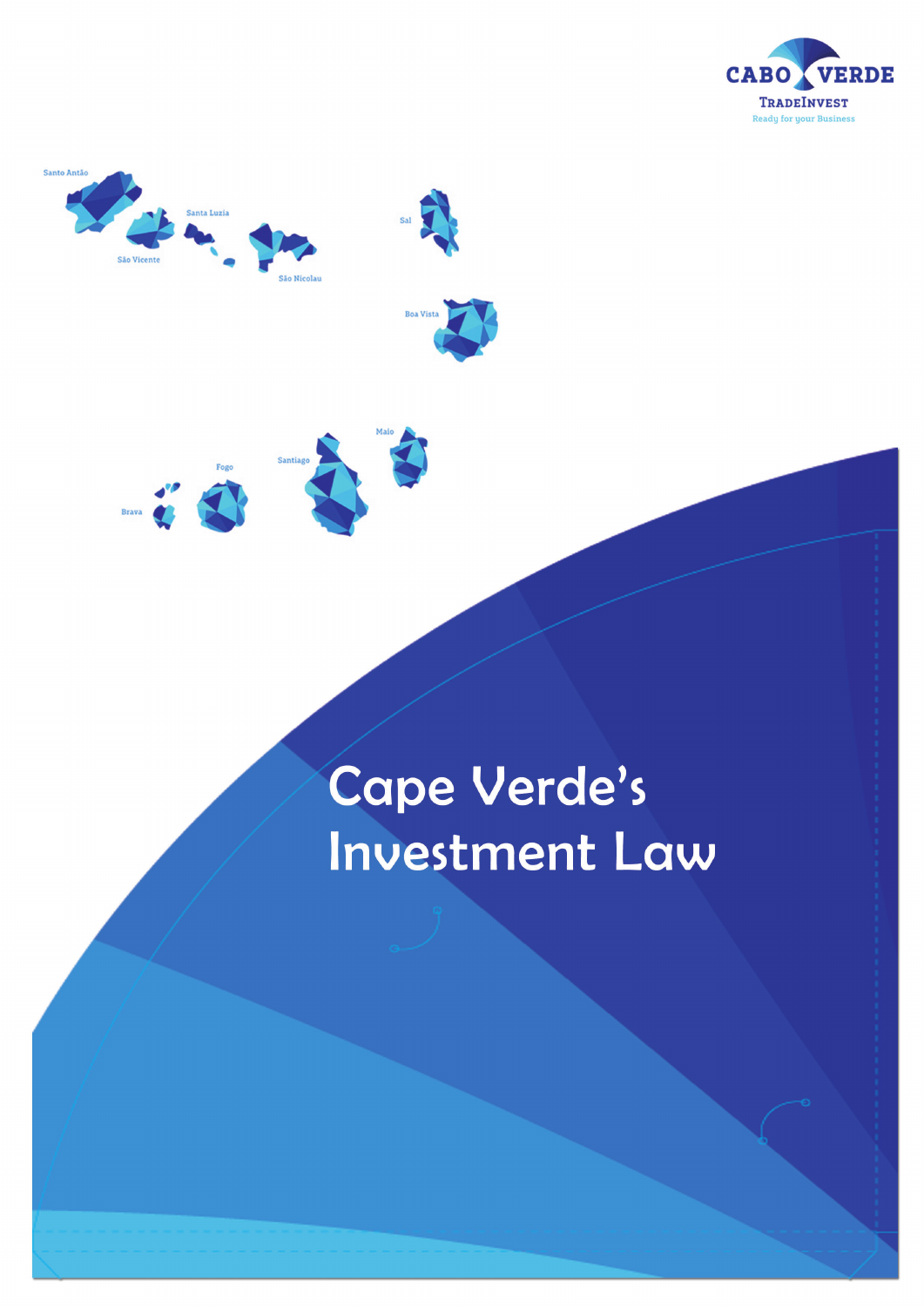





# Cape Verde's **Investment Law**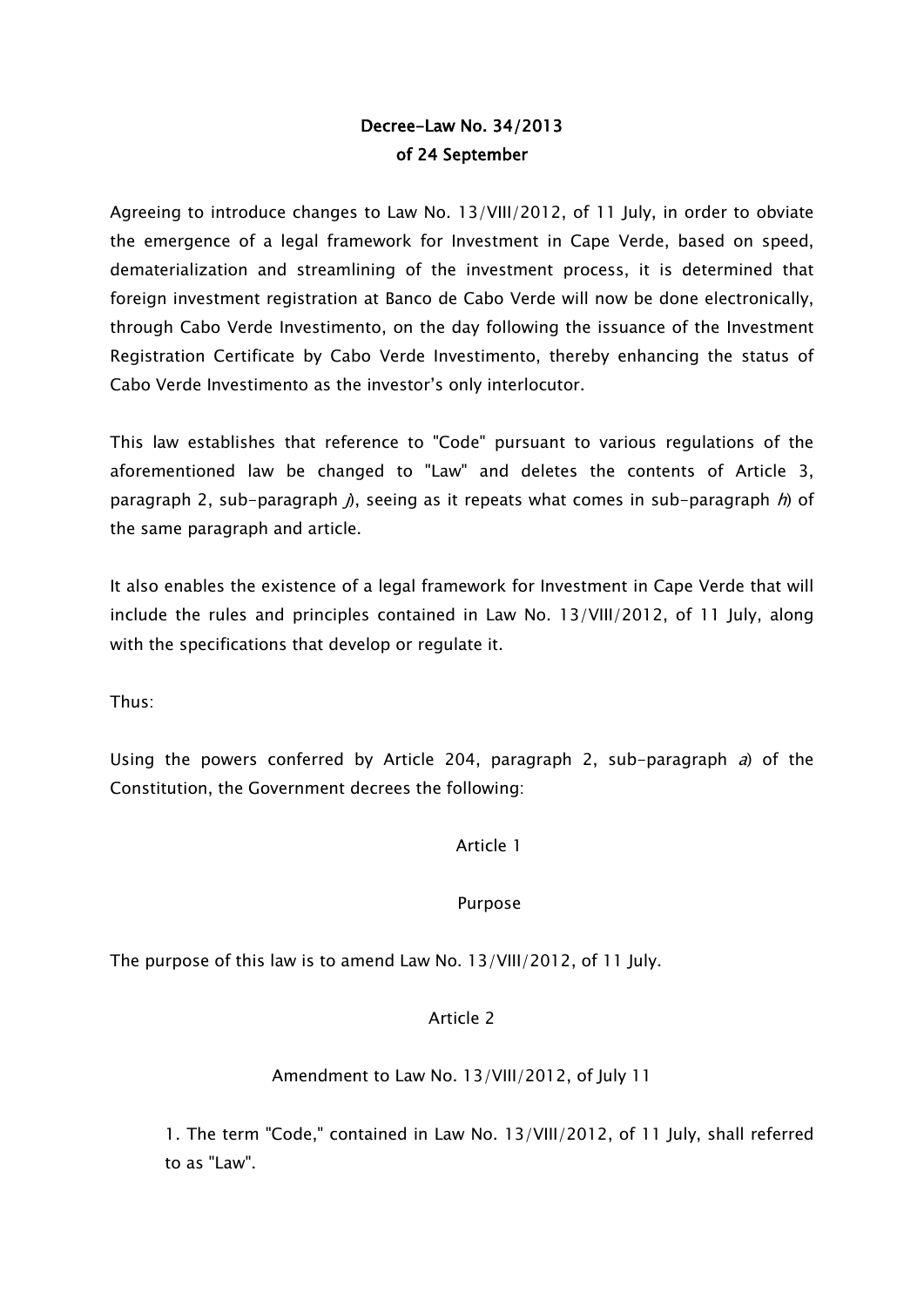## Decree-Law No. 34/2013 of 24 September

Agreeing to introduce changes to Law No. 13/VIII/2012, of 11 July, in order to obviate the emergence of a legal framework for Investment in Cape Verde, based on speed, dematerialization and streamlining of the investment process, it is determined that foreign investment registration at Banco de Cabo Verde will now be done electronically, through Cabo Verde Investimento, on the day following the issuance of the Investment Registration Certificate by Cabo Verde Investimento, thereby enhancing the status of Cabo Verde Investimento as the investor's only interlocutor.

This law establishes that reference to "Code" pursuant to various regulations of the aforementioned law be changed to "Law" and deletes the contents of Article 3, paragraph 2, sub-paragraph  $\beta$ , seeing as it repeats what comes in sub-paragraph  $\beta$ ) of the same paragraph and article.

It also enables the existence of a legal framework for Investment in Cape Verde that will include the rules and principles contained in Law No. 13/VIII/2012, of 11 July, along with the specifications that develop or regulate it.

Thus:

Using the powers conferred by Article 204, paragraph 2, sub-paragraph  $a$ ) of the Constitution, the Government decrees the following:

Article 1

#### Purpose

The purpose of this law is to amend Law No. 13/VIII/2012, of 11 July.

#### Article 2

#### Amendment to Law No. 13/VIII/2012, of July 11

1. The term "Code," contained in Law No. 13/VIII/2012, of 11 July, shall referred to as "Law".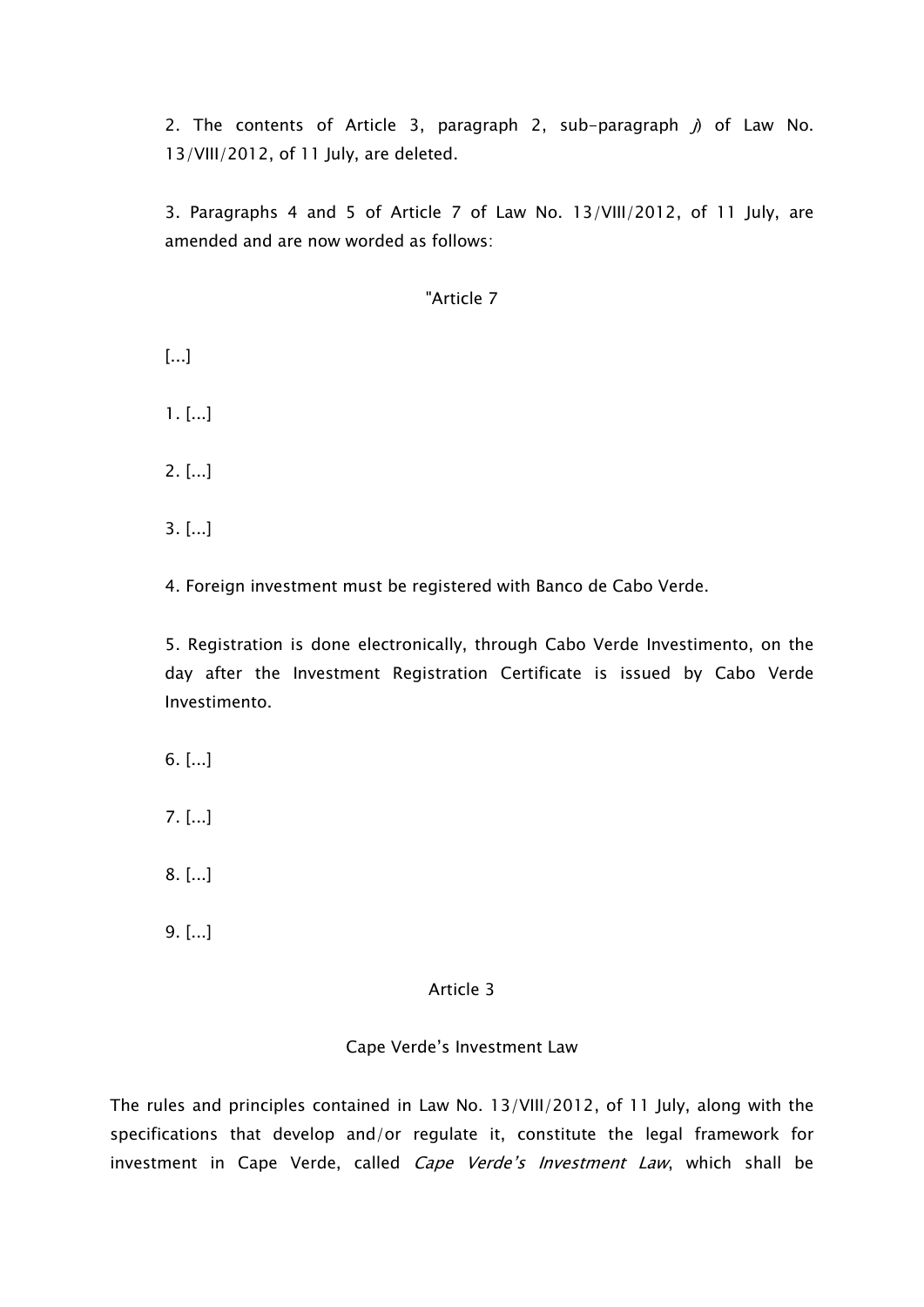2. The contents of Article 3, paragraph 2, sub-paragraph  $j$ ) of Law No. 13/VIII/2012, of 11 July, are deleted.

3. Paragraphs 4 and 5 of Article 7 of Law No. 13/VIII/2012, of 11 July, are amended and are now worded as follows:

#### "Article 7

[...]

 $1.$   $[...]$ 

2. [...]

3. [...]

4. Foreign investment must be registered with Banco de Cabo Verde.

5. Registration is done electronically, through Cabo Verde Investimento, on the day after the Investment Registration Certificate is issued by Cabo Verde Investimento.

6. [...]

7. [...]

8. [...]

9. [...]

#### Article 3

#### Cape Verde's Investment Law

The rules and principles contained in Law No. 13/VIII/2012, of 11 July, along with the specifications that develop and/or regulate it, constitute the legal framework for investment in Cape Verde, called Cape Verde's Investment Law, which shall be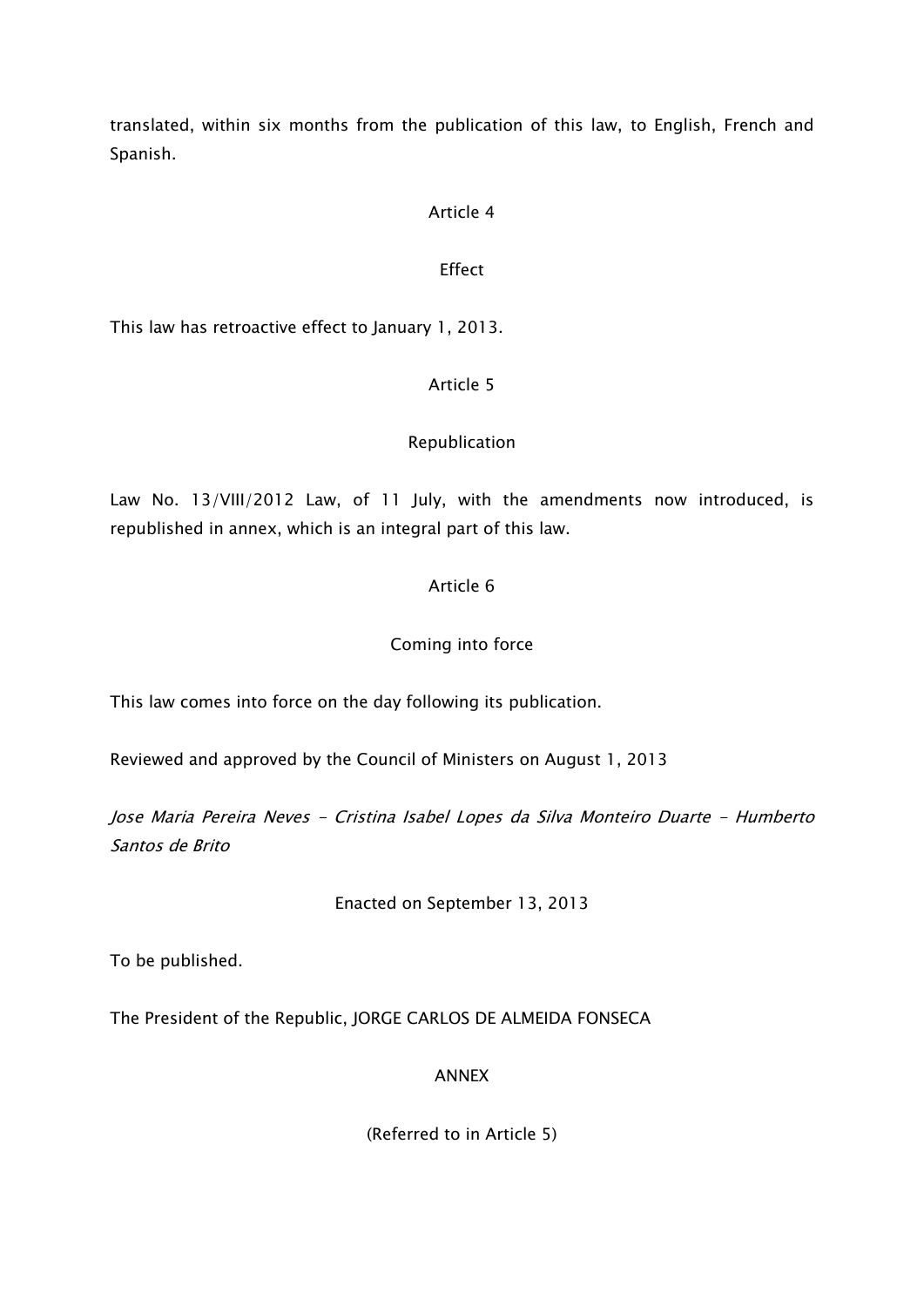translated, within six months from the publication of this law, to English, French and Spanish.

#### Article 4

#### Effect

This law has retroactive effect to January 1, 2013.

#### Article 5

#### Republication

Law No. 13/VIII/2012 Law, of 11 July, with the amendments now introduced, is republished in annex, which is an integral part of this law.

#### Article 6

#### Coming into force

This law comes into force on the day following its publication.

Reviewed and approved by the Council of Ministers on August 1, 2013

Jose Maria Pereira Neves - Cristina Isabel Lopes da Silva Monteiro Duarte - Humberto Santos de Brito

Enacted on September 13, 2013

To be published.

The President of the Republic, JORGE CARLOS DE ALMEIDA FONSECA

#### ANNEX

(Referred to in Article 5)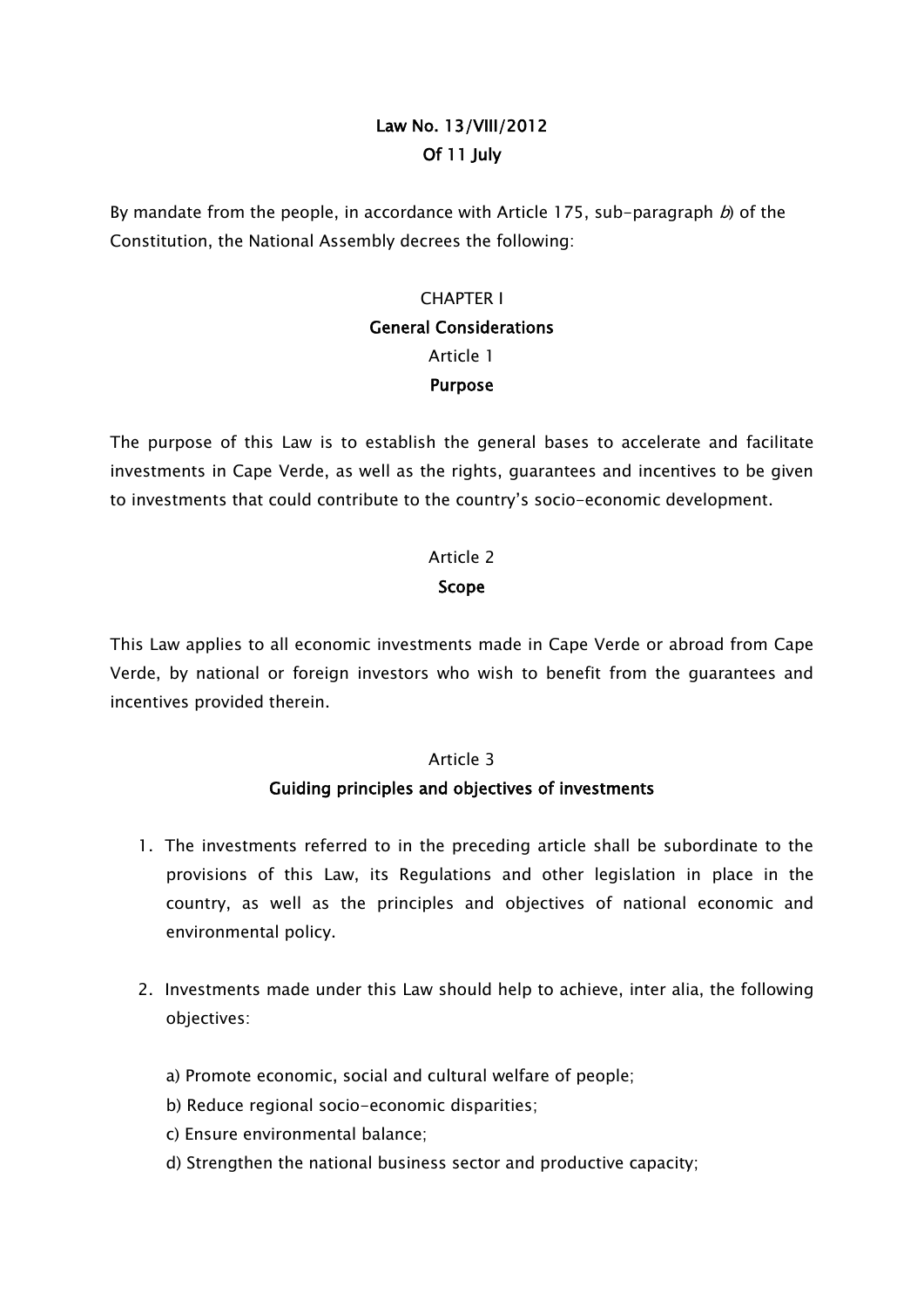# Law No. 13/VIII/2012 Of 11 July

By mandate from the people, in accordance with Article 175, sub-paragraph  $b$ ) of the Constitution, the National Assembly decrees the following:

# CHAPTER I General Considerations Article 1 Purpose

The purpose of this Law is to establish the general bases to accelerate and facilitate investments in Cape Verde, as well as the rights, guarantees and incentives to be given to investments that could contribute to the country's socio-economic development.

#### Article 2

#### Scope

This Law applies to all economic investments made in Cape Verde or abroad from Cape Verde, by national or foreign investors who wish to benefit from the guarantees and incentives provided therein.

#### Article 3

## Guiding principles and objectives of investments

- 1. The investments referred to in the preceding article shall be subordinate to the provisions of this Law, its Regulations and other legislation in place in the country, as well as the principles and objectives of national economic and environmental policy.
- 2. Investments made under this Law should help to achieve, inter alia, the following objectives:
	- a) Promote economic, social and cultural welfare of people;
	- b) Reduce regional socio-economic disparities;
	- c) Ensure environmental balance;
	- d) Strengthen the national business sector and productive capacity;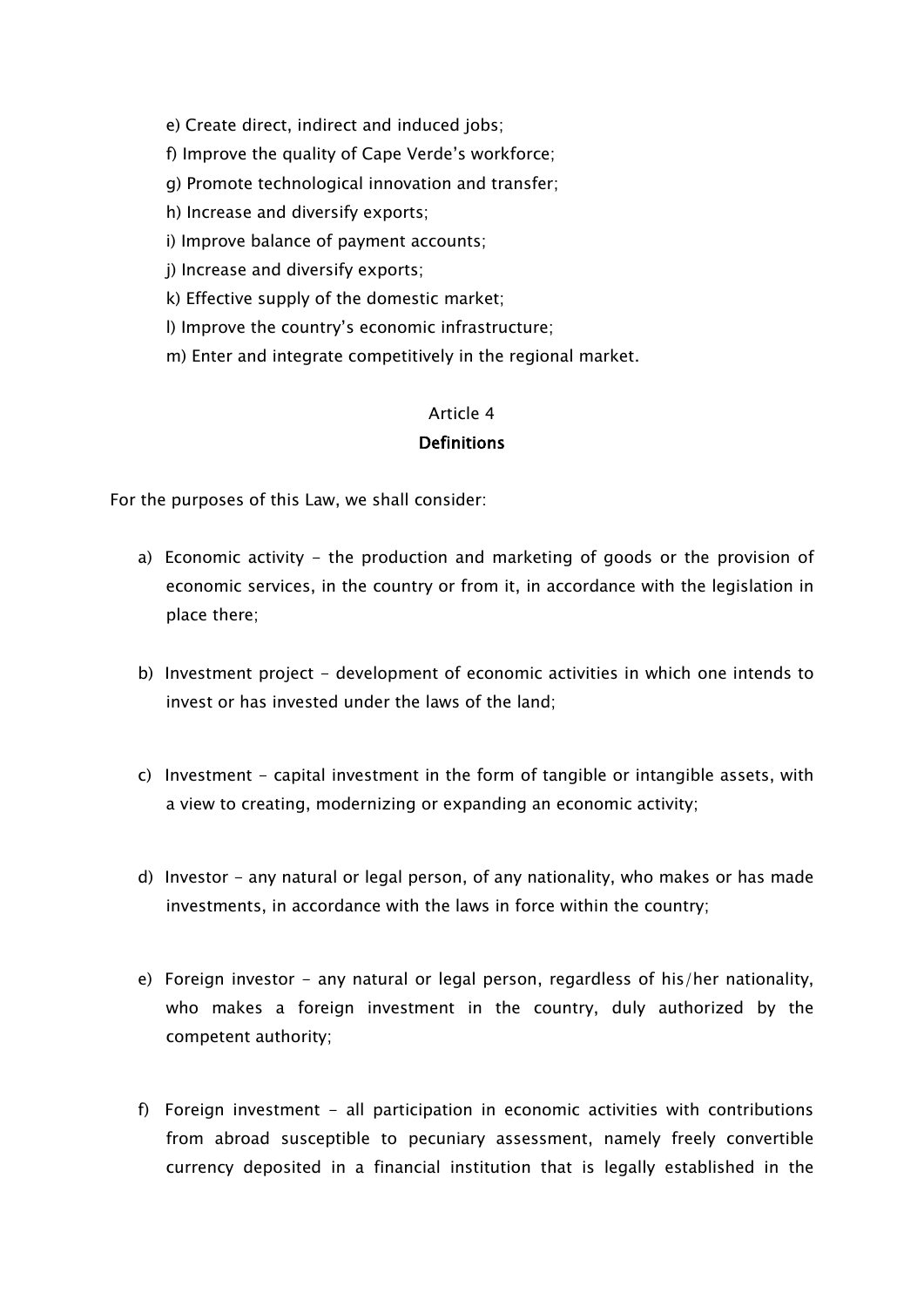e) Create direct, indirect and induced jobs;

- f) Improve the quality of Cape Verde's workforce;
- g) Promote technological innovation and transfer;
- h) Increase and diversify exports;
- i) Improve balance of payment accounts;

j) Increase and diversify exports;

k) Effective supply of the domestic market;

- l) Improve the country's economic infrastructure;
- m) Enter and integrate competitively in the regional market.

#### Article 4

#### Definitions

For the purposes of this Law, we shall consider:

- a) Economic activity the production and marketing of goods or the provision of economic services, in the country or from it, in accordance with the legislation in place there;
- b) Investment project development of economic activities in which one intends to invest or has invested under the laws of the land;
- c) Investment capital investment in the form of tangible or intangible assets, with a view to creating, modernizing or expanding an economic activity;
- d) Investor any natural or legal person, of any nationality, who makes or has made investments, in accordance with the laws in force within the country;
- e) Foreign investor any natural or legal person, regardless of his/her nationality, who makes a foreign investment in the country, duly authorized by the competent authority;
- f) Foreign investment all participation in economic activities with contributions from abroad susceptible to pecuniary assessment, namely freely convertible currency deposited in a financial institution that is legally established in the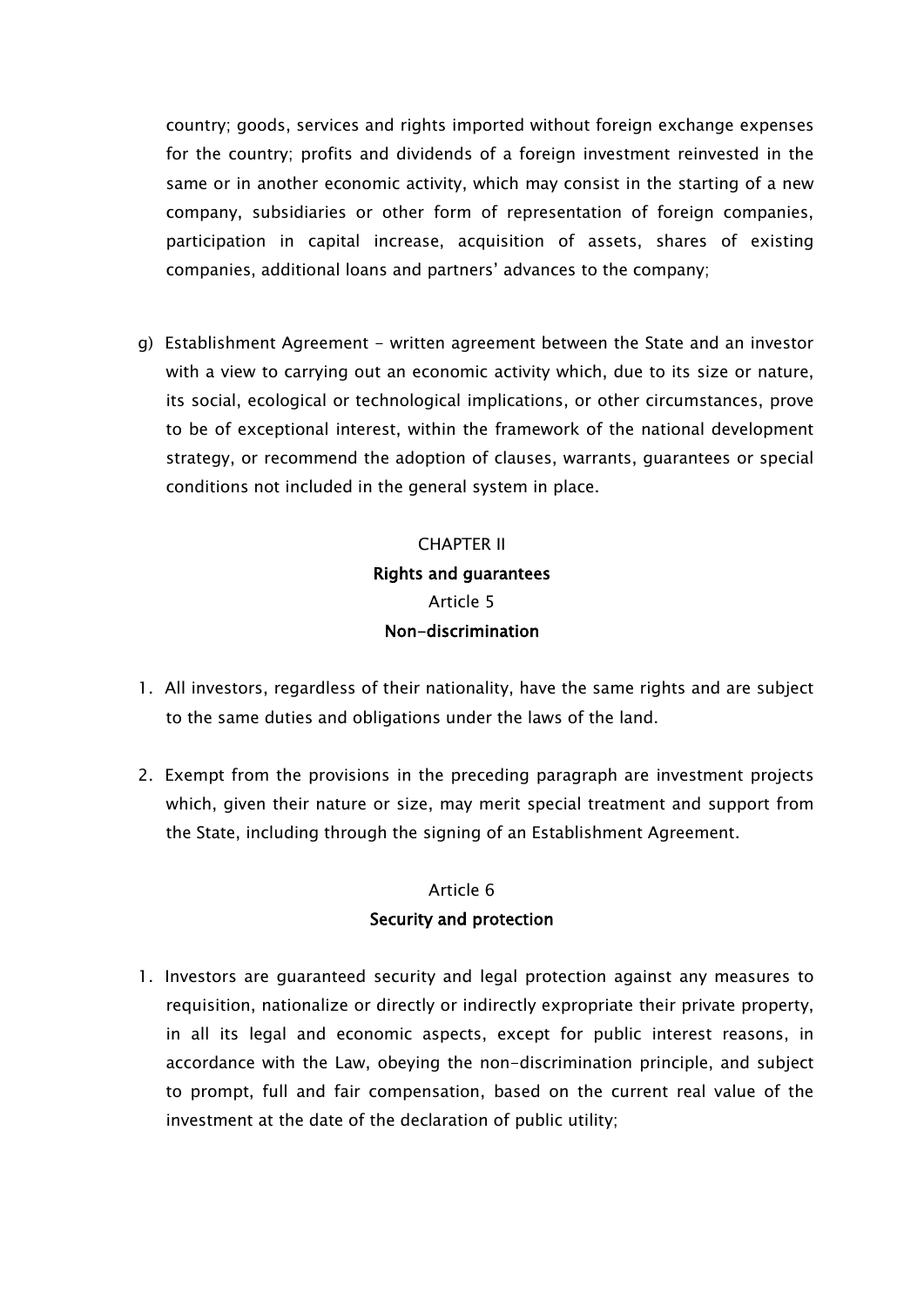country; goods, services and rights imported without foreign exchange expenses for the country; profits and dividends of a foreign investment reinvested in the same or in another economic activity, which may consist in the starting of a new company, subsidiaries or other form of representation of foreign companies, participation in capital increase, acquisition of assets, shares of existing companies, additional loans and partners' advances to the company;

g) Establishment Agreement - written agreement between the State and an investor with a view to carrying out an economic activity which, due to its size or nature, its social, ecological or technological implications, or other circumstances, prove to be of exceptional interest, within the framework of the national development strategy, or recommend the adoption of clauses, warrants, guarantees or special conditions not included in the general system in place.

# CHAPTER II Rights and guarantees Article 5 Non-discrimination

- 1. All investors, regardless of their nationality, have the same rights and are subject to the same duties and obligations under the laws of the land.
- 2. Exempt from the provisions in the preceding paragraph are investment projects which, given their nature or size, may merit special treatment and support from the State, including through the signing of an Establishment Agreement.

## Article 6 Security and protection

1. Investors are guaranteed security and legal protection against any measures to requisition, nationalize or directly or indirectly expropriate their private property, in all its legal and economic aspects, except for public interest reasons, in accordance with the Law, obeying the non-discrimination principle, and subject to prompt, full and fair compensation, based on the current real value of the investment at the date of the declaration of public utility;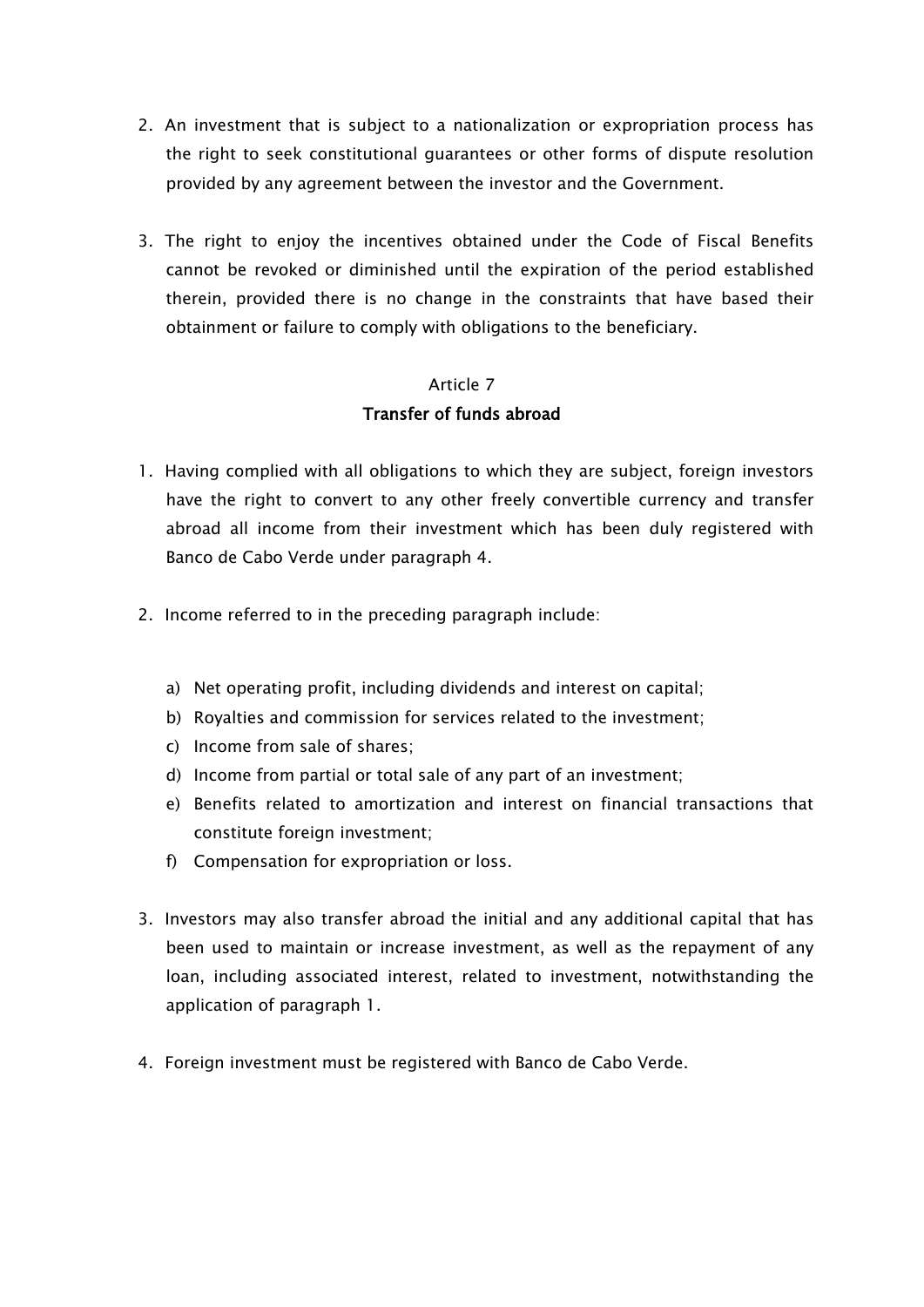- 2. An investment that is subject to a nationalization or expropriation process has the right to seek constitutional guarantees or other forms of dispute resolution provided by any agreement between the investor and the Government.
- 3. The right to enjoy the incentives obtained under the Code of Fiscal Benefits cannot be revoked or diminished until the expiration of the period established therein, provided there is no change in the constraints that have based their obtainment or failure to comply with obligations to the beneficiary.

## Article 7 Transfer of funds abroad

- 1. Having complied with all obligations to which they are subject, foreign investors have the right to convert to any other freely convertible currency and transfer abroad all income from their investment which has been duly registered with Banco de Cabo Verde under paragraph 4.
- 2. Income referred to in the preceding paragraph include:
	- a) Net operating profit, including dividends and interest on capital;
	- b) Royalties and commission for services related to the investment;
	- c) Income from sale of shares;
	- d) Income from partial or total sale of any part of an investment;
	- e) Benefits related to amortization and interest on financial transactions that constitute foreign investment;
	- f) Compensation for expropriation or loss.
- 3. Investors may also transfer abroad the initial and any additional capital that has been used to maintain or increase investment, as well as the repayment of any loan, including associated interest, related to investment, notwithstanding the application of paragraph 1.
- 4. Foreign investment must be registered with Banco de Cabo Verde.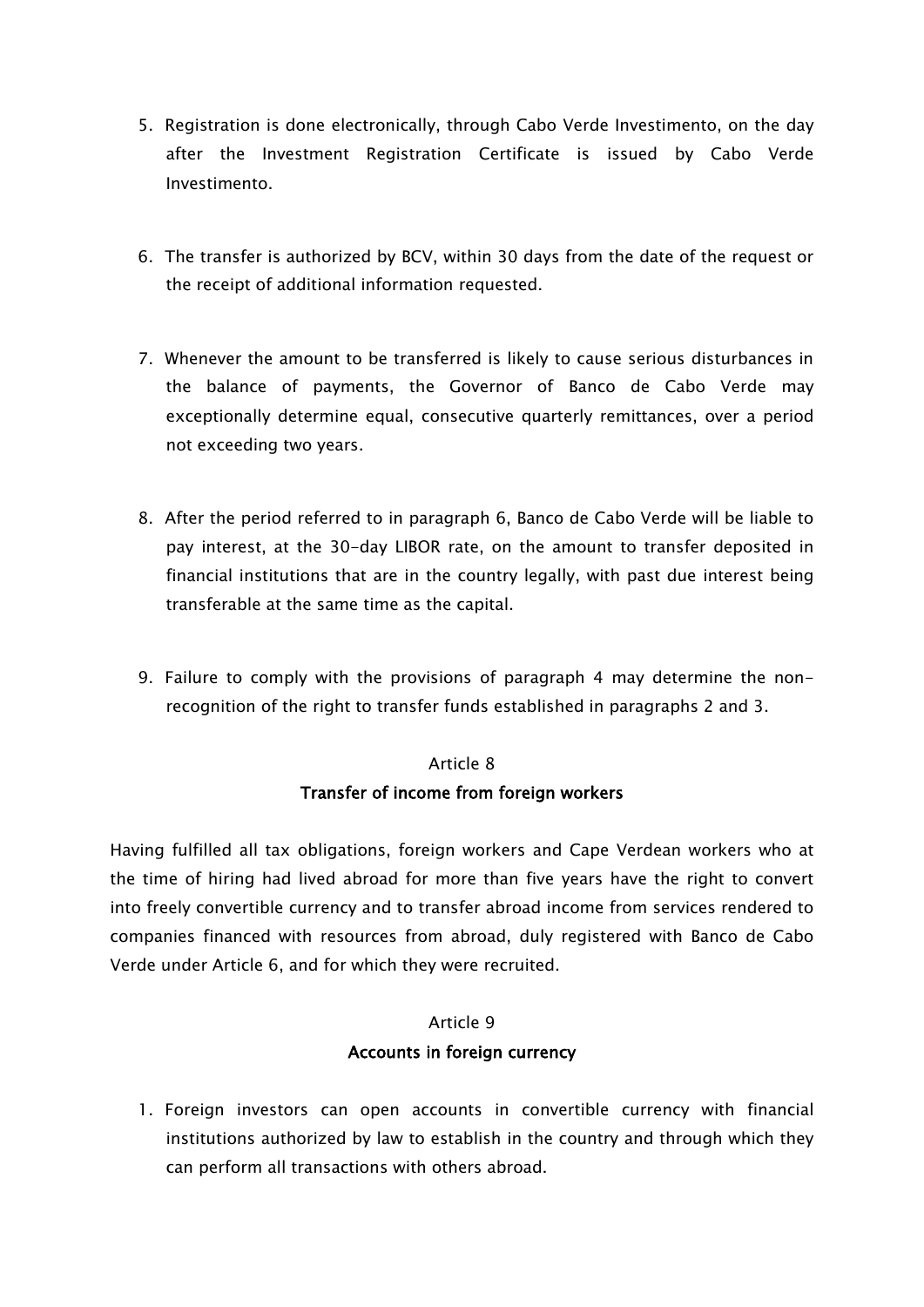- 5. Registration is done electronically, through Cabo Verde Investimento, on the day after the Investment Registration Certificate is issued by Cabo Verde Investimento.
- 6. The transfer is authorized by BCV, within 30 days from the date of the request or the receipt of additional information requested.
- 7. Whenever the amount to be transferred is likely to cause serious disturbances in the balance of payments, the Governor of Banco de Cabo Verde may exceptionally determine equal, consecutive quarterly remittances, over a period not exceeding two years.
- 8. After the period referred to in paragraph 6, Banco de Cabo Verde will be liable to pay interest, at the 30-day LIBOR rate, on the amount to transfer deposited in financial institutions that are in the country legally, with past due interest being transferable at the same time as the capital.
- 9. Failure to comply with the provisions of paragraph 4 may determine the nonrecognition of the right to transfer funds established in paragraphs 2 and 3.

## Article 8 Transfer of income from foreign workers

Having fulfilled all tax obligations, foreign workers and Cape Verdean workers who at the time of hiring had lived abroad for more than five years have the right to convert into freely convertible currency and to transfer abroad income from services rendered to companies financed with resources from abroad, duly registered with Banco de Cabo Verde under Article 6, and for which they were recruited.

#### Article 9

#### Accounts in foreign currency

1. Foreign investors can open accounts in convertible currency with financial institutions authorized by law to establish in the country and through which they can perform all transactions with others abroad.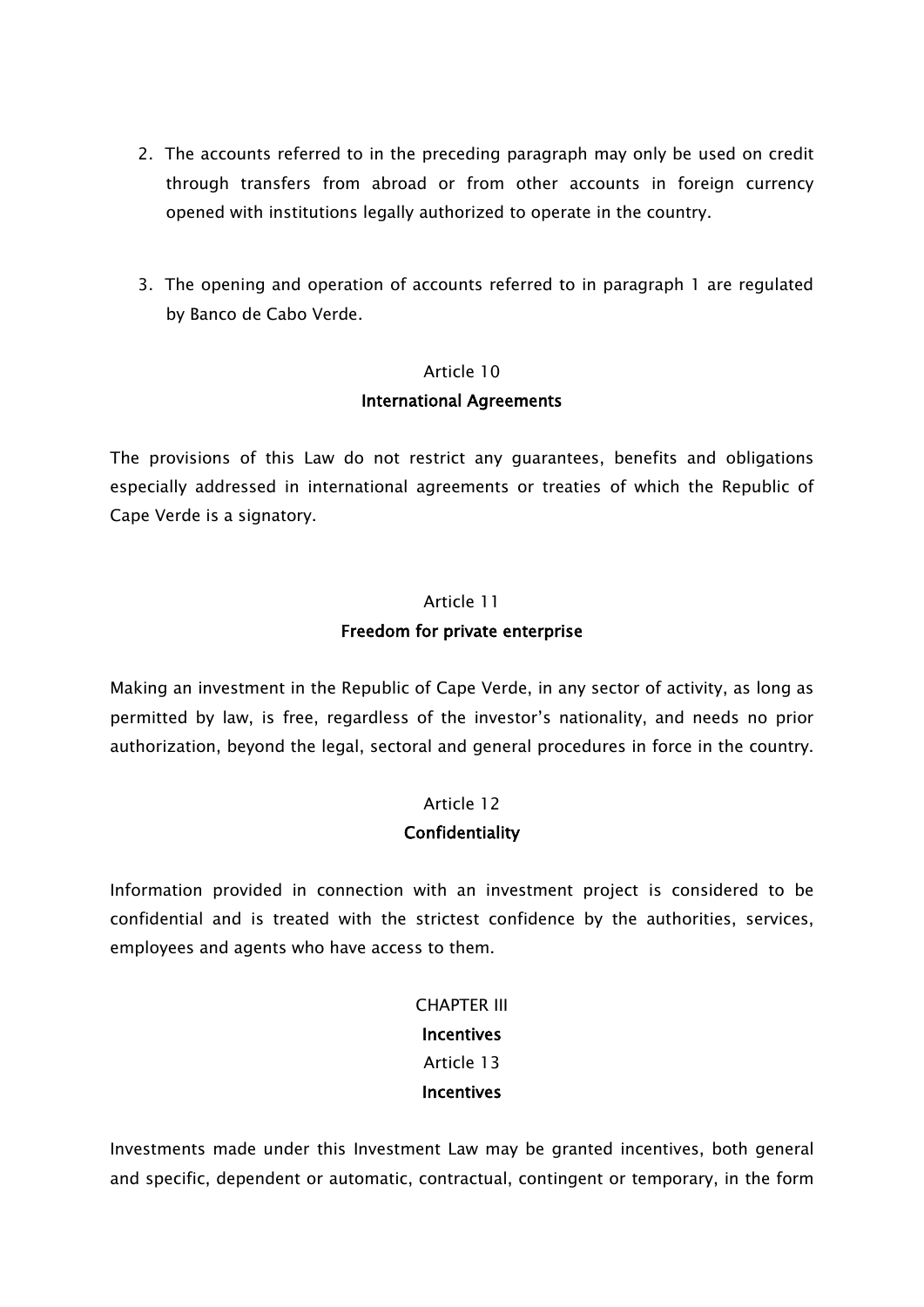- 2. The accounts referred to in the preceding paragraph may only be used on credit through transfers from abroad or from other accounts in foreign currency opened with institutions legally authorized to operate in the country.
- 3. The opening and operation of accounts referred to in paragraph 1 are regulated by Banco de Cabo Verde.

#### Article 10

#### International Agreements

The provisions of this Law do not restrict any guarantees, benefits and obligations especially addressed in international agreements or treaties of which the Republic of Cape Verde is a signatory.

# Article 11 Freedom for private enterprise

Making an investment in the Republic of Cape Verde, in any sector of activity, as long as permitted by law, is free, regardless of the investor's nationality, and needs no prior authorization, beyond the legal, sectoral and general procedures in force in the country.

#### Article 12

#### **Confidentiality**

Information provided in connection with an investment project is considered to be confidential and is treated with the strictest confidence by the authorities, services, employees and agents who have access to them.

> CHAPTER III **Incentives** Article 13 **Incentives**

Investments made under this Investment Law may be granted incentives, both general and specific, dependent or automatic, contractual, contingent or temporary, in the form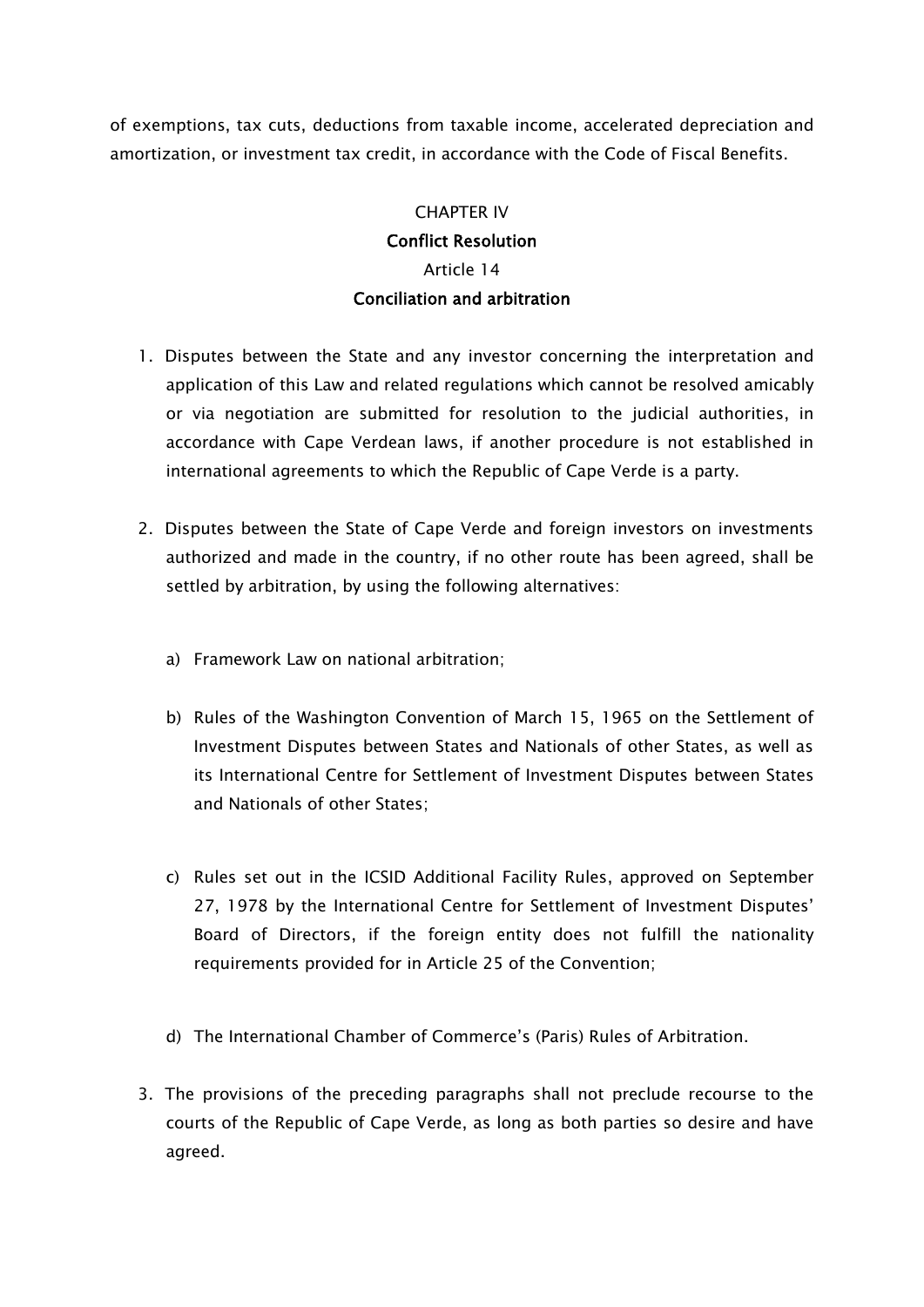of exemptions, tax cuts, deductions from taxable income, accelerated depreciation and amortization, or investment tax credit, in accordance with the Code of Fiscal Benefits.

# CHAPTER IV Conflict Resolution Article 14 Conciliation and arbitration

- 1. Disputes between the State and any investor concerning the interpretation and application of this Law and related regulations which cannot be resolved amicably or via negotiation are submitted for resolution to the judicial authorities, in accordance with Cape Verdean laws, if another procedure is not established in international agreements to which the Republic of Cape Verde is a party.
- 2. Disputes between the State of Cape Verde and foreign investors on investments authorized and made in the country, if no other route has been agreed, shall be settled by arbitration, by using the following alternatives:
	- a) Framework Law on national arbitration;
	- b) Rules of the Washington Convention of March 15, 1965 on the Settlement of Investment Disputes between States and Nationals of other States, as well as its International Centre for Settlement of Investment Disputes between States and Nationals of other States;
	- c) Rules set out in the ICSID Additional Facility Rules, approved on September 27, 1978 by the International Centre for Settlement of Investment Disputes' Board of Directors, if the foreign entity does not fulfill the nationality requirements provided for in Article 25 of the Convention;
	- d) The International Chamber of Commerce's (Paris) Rules of Arbitration.
- 3. The provisions of the preceding paragraphs shall not preclude recourse to the courts of the Republic of Cape Verde, as long as both parties so desire and have agreed.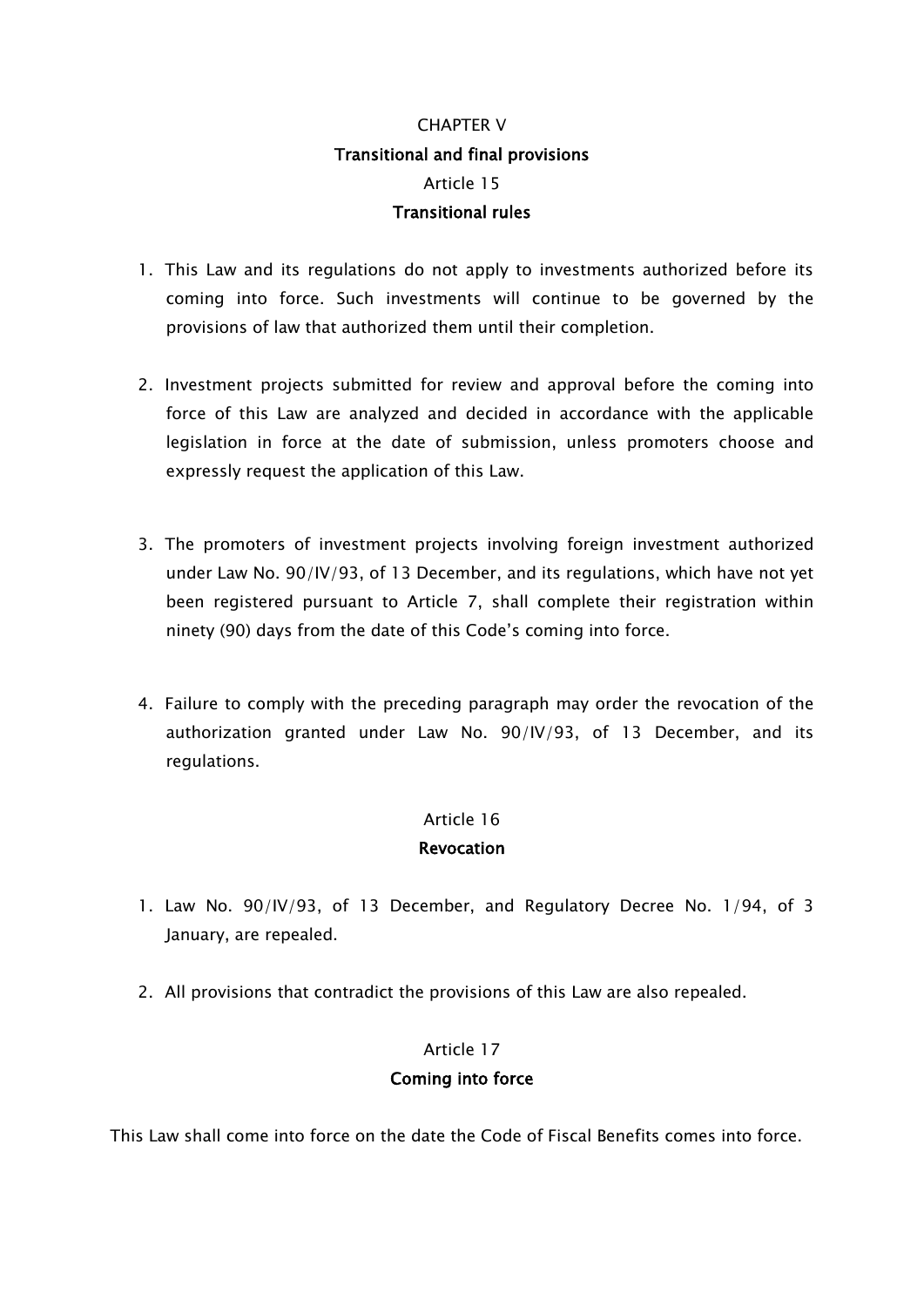# CHAPTER V Transitional and final provisions Article 15 Transitional rules

- 1. This Law and its regulations do not apply to investments authorized before its coming into force. Such investments will continue to be governed by the provisions of law that authorized them until their completion.
- 2. Investment projects submitted for review and approval before the coming into force of this Law are analyzed and decided in accordance with the applicable legislation in force at the date of submission, unless promoters choose and expressly request the application of this Law.
- 3. The promoters of investment projects involving foreign investment authorized under Law No. 90/IV/93, of 13 December, and its regulations, which have not yet been registered pursuant to Article 7, shall complete their registration within ninety (90) days from the date of this Code's coming into force.
- 4. Failure to comply with the preceding paragraph may order the revocation of the authorization granted under Law No. 90/IV/93, of 13 December, and its regulations.

#### Article 16

#### Revocation

- 1. Law No. 90/IV/93, of 13 December, and Regulatory Decree No. 1/94, of 3 January, are repealed.
- 2. All provisions that contradict the provisions of this Law are also repealed.

#### Article 17

## Coming into force

This Law shall come into force on the date the Code of Fiscal Benefits comes into force.